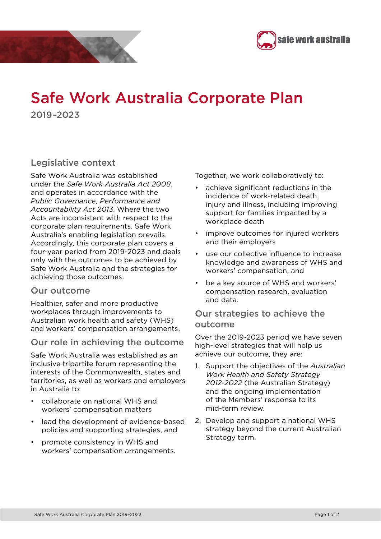



# Safe Work Australia Corporate Plan 2019–2023

### Legislative context

Safe Work Australia was established under the *Safe Work Australia Act 2008*, and operates in accordance with the *Public Governance, Performance and Accountability Act 2013*. Where the two Acts are inconsistent with respect to the corporate plan requirements, Safe Work Australia's enabling legislation prevails. Accordingly, this corporate plan covers a four-year period from 2019-2023 and deals only with the outcomes to be achieved by Safe Work Australia and the strategies for achieving those outcomes.

#### Our outcome

Healthier, safer and more productive workplaces through improvements to Australian work health and safety (WHS) and workers' compensation arrangements.

### Our role in achieving the outcome

Safe Work Australia was established as an inclusive tripartite forum representing the interests of the Commonwealth, states and territories, as well as workers and employers in Australia to:

- collaborate on national WHS and workers' compensation matters
- lead the development of evidence-based policies and supporting strategies, and
- promote consistency in WHS and workers' compensation arrangements.

Together, we work collaboratively to:

- achieve significant reductions in the incidence of work-related death, injury and illness, including improving support for families impacted by a workplace death
- improve outcomes for injured workers and their employers
- use our collective influence to increase knowledge and awareness of WHS and workers' compensation, and
- be a key source of WHS and workers' compensation research, evaluation and data.

#### Our strategies to achieve the outcome

Over the 2019-2023 period we have seven high-level strategies that will help us achieve our outcome, they are:

- 1. Support the objectives of the *Australian Work Health and Safety Strategy 2012-2022* (the Australian Strategy) and the ongoing implementation of the Members' response to its mid-term review.
- 2. Develop and support a national WHS strategy beyond the current Australian Strategy term.